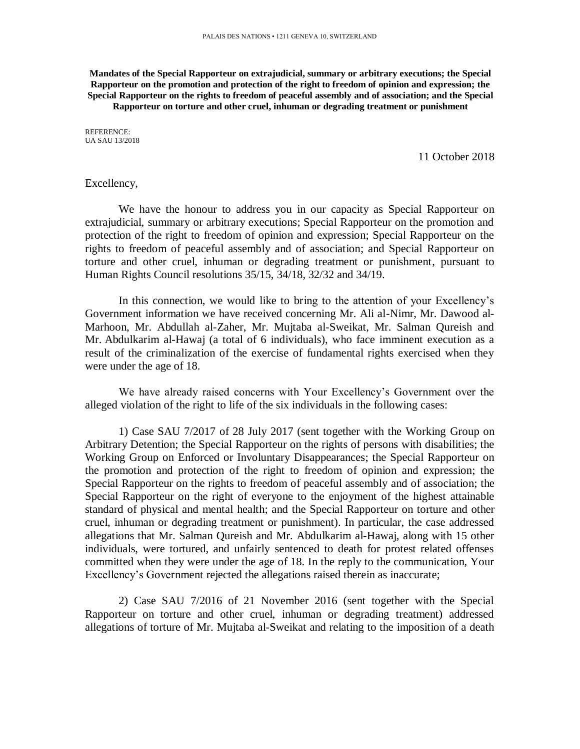**Mandates of the Special Rapporteur on extrajudicial, summary or arbitrary executions; the Special Rapporteur on the promotion and protection of the right to freedom of opinion and expression; the Special Rapporteur on the rights to freedom of peaceful assembly and of association; and the Special Rapporteur on torture and other cruel, inhuman or degrading treatment or punishment**

REFERENCE: UA SAU 13/2018

11 October 2018

#### Excellency,

We have the honour to address you in our capacity as Special Rapporteur on extrajudicial, summary or arbitrary executions; Special Rapporteur on the promotion and protection of the right to freedom of opinion and expression; Special Rapporteur on the rights to freedom of peaceful assembly and of association; and Special Rapporteur on torture and other cruel, inhuman or degrading treatment or punishment, pursuant to Human Rights Council resolutions 35/15, 34/18, 32/32 and 34/19.

In this connection, we would like to bring to the attention of your Excellency's Government information we have received concerning Mr. Ali al-Nimr, Mr. Dawood al-Marhoon, Mr. Abdullah al-Zaher, Mr. Mujtaba al-Sweikat, Mr. Salman Qureish and Mr. Abdulkarim al-Hawaj (a total of 6 individuals), who face imminent execution as a result of the criminalization of the exercise of fundamental rights exercised when they were under the age of 18.

We have already raised concerns with Your Excellency's Government over the alleged violation of the right to life of the six individuals in the following cases:

1) Case SAU 7/2017 of 28 July 2017 (sent together with the Working Group on Arbitrary Detention; the Special Rapporteur on the rights of persons with disabilities; the Working Group on Enforced or Involuntary Disappearances; the Special Rapporteur on the promotion and protection of the right to freedom of opinion and expression; the Special Rapporteur on the rights to freedom of peaceful assembly and of association; the Special Rapporteur on the right of everyone to the enjoyment of the highest attainable standard of physical and mental health; and the Special Rapporteur on torture and other cruel, inhuman or degrading treatment or punishment). In particular, the case addressed allegations that Mr. Salman Qureish and Mr. Abdulkarim al-Hawaj, along with 15 other individuals, were tortured, and unfairly sentenced to death for protest related offenses committed when they were under the age of 18. In the reply to the communication, Your Excellency's Government rejected the allegations raised therein as inaccurate;

2) Case SAU 7/2016 of 21 November 2016 (sent together with the Special Rapporteur on torture and other cruel, inhuman or degrading treatment) addressed allegations of torture of Mr. Mujtaba al-Sweikat and relating to the imposition of a death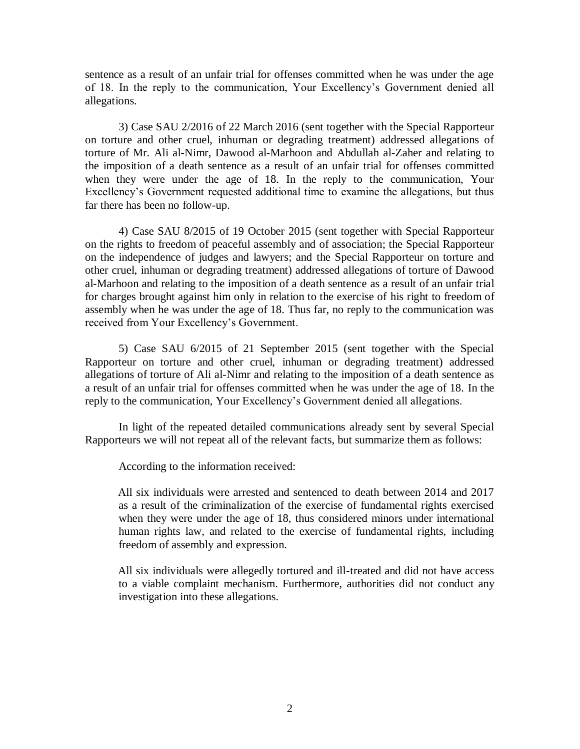sentence as a result of an unfair trial for offenses committed when he was under the age of 18. In the reply to the communication, Your Excellency's Government denied all allegations.

3) Case SAU 2/2016 of 22 March 2016 (sent together with the Special Rapporteur on torture and other cruel, inhuman or degrading treatment) addressed allegations of torture of Mr. Ali al-Nimr, Dawood al-Marhoon and Abdullah al-Zaher and relating to the imposition of a death sentence as a result of an unfair trial for offenses committed when they were under the age of 18. In the reply to the communication, Your Excellency's Government requested additional time to examine the allegations, but thus far there has been no follow-up.

4) Case SAU 8/2015 of 19 October 2015 (sent together with Special Rapporteur on the rights to freedom of peaceful assembly and of association; the Special Rapporteur on the independence of judges and lawyers; and the Special Rapporteur on torture and other cruel, inhuman or degrading treatment) addressed allegations of torture of Dawood al-Marhoon and relating to the imposition of a death sentence as a result of an unfair trial for charges brought against him only in relation to the exercise of his right to freedom of assembly when he was under the age of 18. Thus far, no reply to the communication was received from Your Excellency's Government.

5) Case SAU 6/2015 of 21 September 2015 (sent together with the Special Rapporteur on torture and other cruel, inhuman or degrading treatment) addressed allegations of torture of Ali al-Nimr and relating to the imposition of a death sentence as a result of an unfair trial for offenses committed when he was under the age of 18. In the reply to the communication, Your Excellency's Government denied all allegations.

In light of the repeated detailed communications already sent by several Special Rapporteurs we will not repeat all of the relevant facts, but summarize them as follows:

According to the information received:

All six individuals were arrested and sentenced to death between 2014 and 2017 as a result of the criminalization of the exercise of fundamental rights exercised when they were under the age of 18, thus considered minors under international human rights law, and related to the exercise of fundamental rights, including freedom of assembly and expression.

All six individuals were allegedly tortured and ill-treated and did not have access to a viable complaint mechanism. Furthermore, authorities did not conduct any investigation into these allegations.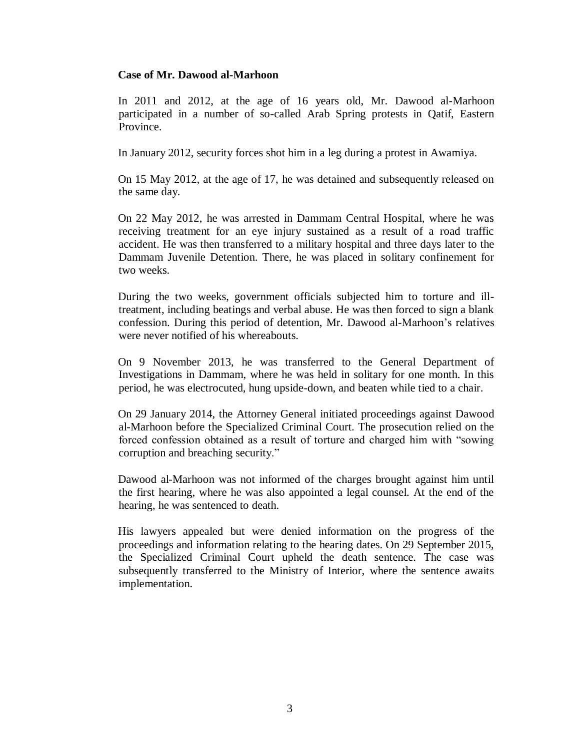#### **Case of Mr. Dawood al-Marhoon**

In 2011 and 2012, at the age of 16 years old, Mr. Dawood al-Marhoon participated in a number of so-called Arab Spring protests in Qatif, Eastern Province.

In January 2012, security forces shot him in a leg during a protest in Awamiya.

On 15 May 2012, at the age of 17, he was detained and subsequently released on the same day.

On 22 May 2012, he was arrested in Dammam Central Hospital, where he was receiving treatment for an eye injury sustained as a result of a road traffic accident. He was then transferred to a military hospital and three days later to the Dammam Juvenile Detention. There, he was placed in solitary confinement for two weeks.

During the two weeks, government officials subjected him to torture and illtreatment, including beatings and verbal abuse. He was then forced to sign a blank confession. During this period of detention, Mr. Dawood al-Marhoon's relatives were never notified of his whereabouts.

On 9 November 2013, he was transferred to the General Department of Investigations in Dammam, where he was held in solitary for one month. In this period, he was electrocuted, hung upside-down, and beaten while tied to a chair.

On 29 January 2014, the Attorney General initiated proceedings against Dawood al-Marhoon before the Specialized Criminal Court. The prosecution relied on the forced confession obtained as a result of torture and charged him with "sowing corruption and breaching security."

Dawood al-Marhoon was not informed of the charges brought against him until the first hearing, where he was also appointed a legal counsel. At the end of the hearing, he was sentenced to death.

His lawyers appealed but were denied information on the progress of the proceedings and information relating to the hearing dates. On 29 September 2015, the Specialized Criminal Court upheld the death sentence. The case was subsequently transferred to the Ministry of Interior, where the sentence awaits implementation.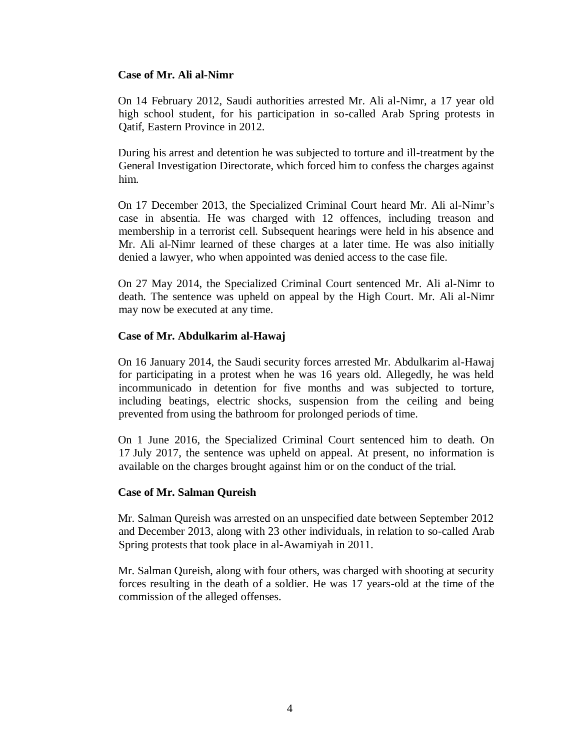## **Case of Mr. Ali al-Nimr**

On 14 February 2012, Saudi authorities arrested Mr. Ali al-Nimr, a 17 year old high school student, for his participation in so-called Arab Spring protests in Qatif, Eastern Province in 2012.

During his arrest and detention he was subjected to torture and ill-treatment by the General Investigation Directorate, which forced him to confess the charges against him.

On 17 December 2013, the Specialized Criminal Court heard Mr. Ali al-Nimr's case in absentia. He was charged with 12 offences, including treason and membership in a terrorist cell. Subsequent hearings were held in his absence and Mr. Ali al-Nimr learned of these charges at a later time. He was also initially denied a lawyer, who when appointed was denied access to the case file.

On 27 May 2014, the Specialized Criminal Court sentenced Mr. Ali al-Nimr to death. The sentence was upheld on appeal by the High Court. Mr. Ali al-Nimr may now be executed at any time.

## **Case of Mr. Abdulkarim al-Hawaj**

On 16 January 2014, the Saudi security forces arrested Mr. Abdulkarim al-Hawaj for participating in a protest when he was 16 years old. Allegedly, he was held incommunicado in detention for five months and was subjected to torture, including beatings, electric shocks, suspension from the ceiling and being prevented from using the bathroom for prolonged periods of time.

On 1 June 2016, the Specialized Criminal Court sentenced him to death. On 17 July 2017, the sentence was upheld on appeal. At present, no information is available on the charges brought against him or on the conduct of the trial.

## **Case of Mr. Salman Qureish**

Mr. Salman Qureish was arrested on an unspecified date between September 2012 and December 2013, along with 23 other individuals, in relation to so-called Arab Spring protests that took place in al-Awamiyah in 2011.

Mr. Salman Qureish, along with four others, was charged with shooting at security forces resulting in the death of a soldier. He was 17 years-old at the time of the commission of the alleged offenses.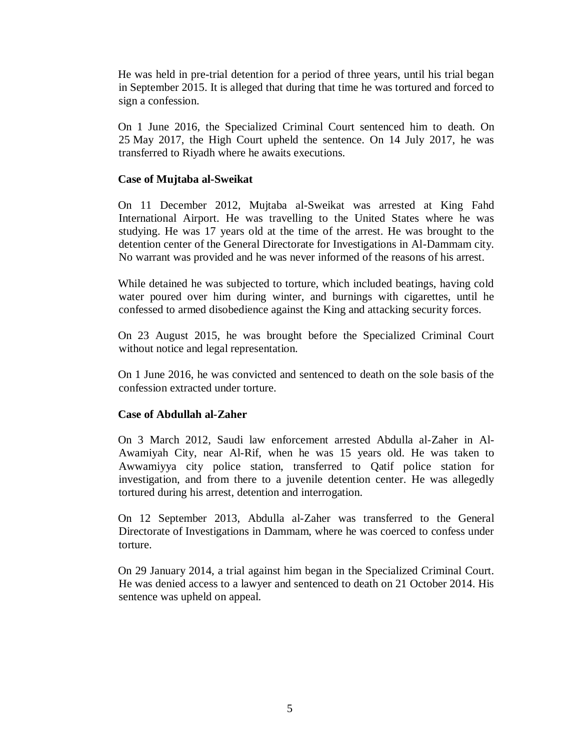He was held in pre-trial detention for a period of three years, until his trial began in September 2015. It is alleged that during that time he was tortured and forced to sign a confession.

On 1 June 2016, the Specialized Criminal Court sentenced him to death. On 25 May 2017, the High Court upheld the sentence. On 14 July 2017, he was transferred to Riyadh where he awaits executions.

# **Case of Mujtaba al-Sweikat**

On 11 December 2012, Mujtaba al-Sweikat was arrested at King Fahd International Airport. He was travelling to the United States where he was studying. He was 17 years old at the time of the arrest. He was brought to the detention center of the General Directorate for Investigations in Al-Dammam city. No warrant was provided and he was never informed of the reasons of his arrest.

While detained he was subjected to torture, which included beatings, having cold water poured over him during winter, and burnings with cigarettes, until he confessed to armed disobedience against the King and attacking security forces.

On 23 August 2015, he was brought before the Specialized Criminal Court without notice and legal representation.

On 1 June 2016, he was convicted and sentenced to death on the sole basis of the confession extracted under torture.

## **Case of Abdullah al-Zaher**

On 3 March 2012, Saudi law enforcement arrested Abdulla al-Zaher in Al-Awamiyah City, near Al-Rif, when he was 15 years old. He was taken to Awwamiyya city police station, transferred to Qatif police station for investigation, and from there to a juvenile detention center. He was allegedly tortured during his arrest, detention and interrogation.

On 12 September 2013, Abdulla al-Zaher was transferred to the General Directorate of Investigations in Dammam, where he was coerced to confess under torture.

On 29 January 2014, a trial against him began in the Specialized Criminal Court. He was denied access to a lawyer and sentenced to death on 21 October 2014. His sentence was upheld on appeal.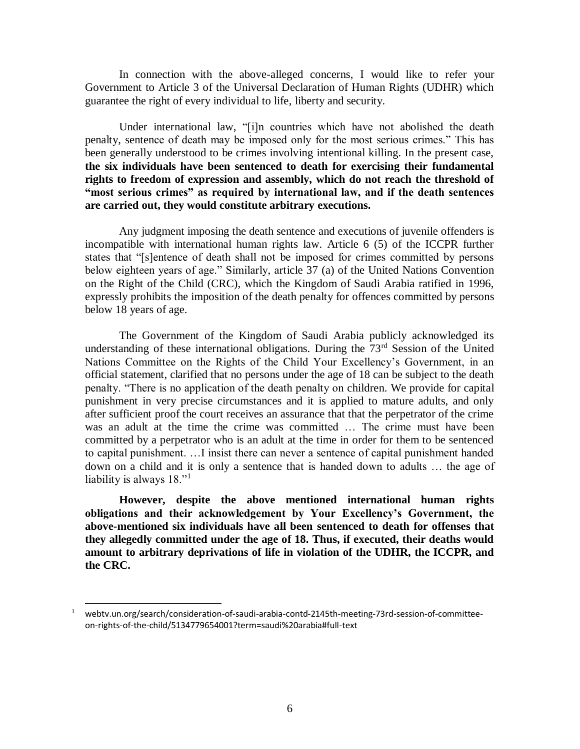In connection with the above-alleged concerns, I would like to refer your Government to Article 3 of the Universal Declaration of Human Rights (UDHR) which guarantee the right of every individual to life, liberty and security.

Under international law, "[i]n countries which have not abolished the death penalty, sentence of death may be imposed only for the most serious crimes." This has been generally understood to be crimes involving intentional killing. In the present case, **the six individuals have been sentenced to death for exercising their fundamental rights to freedom of expression and assembly, which do not reach the threshold of "most serious crimes" as required by international law, and if the death sentences are carried out, they would constitute arbitrary executions.**

Any judgment imposing the death sentence and executions of juvenile offenders is incompatible with international human rights law. Article 6 (5) of the ICCPR further states that "[s]entence of death shall not be imposed for crimes committed by persons below eighteen years of age." Similarly, article 37 (a) of the United Nations Convention on the Right of the Child (CRC), which the Kingdom of Saudi Arabia ratified in 1996, expressly prohibits the imposition of the death penalty for offences committed by persons below 18 years of age.

The Government of the Kingdom of Saudi Arabia publicly acknowledged its understanding of these international obligations. During the  $73<sup>rd</sup>$  Session of the United Nations Committee on the Rights of the Child Your Excellency's Government, in an official statement, clarified that no persons under the age of 18 can be subject to the death penalty. "There is no application of the death penalty on children. We provide for capital punishment in very precise circumstances and it is applied to mature adults, and only after sufficient proof the court receives an assurance that that the perpetrator of the crime was an adult at the time the crime was committed … The crime must have been committed by a perpetrator who is an adult at the time in order for them to be sentenced to capital punishment. …I insist there can never a sentence of capital punishment handed down on a child and it is only a sentence that is handed down to adults … the age of liability is always  $18.^{11}$ 

**However, despite the above mentioned international human rights obligations and their acknowledgement by Your Excellency's Government, the above-mentioned six individuals have all been sentenced to death for offenses that they allegedly committed under the age of 18. Thus, if executed, their deaths would amount to arbitrary deprivations of life in violation of the UDHR, the ICCPR, and the CRC.**

l

<sup>1</sup> webtv.un.org/search/consideration-of-saudi-arabia-contd-2145th-meeting-73rd-session-of-committeeon-rights-of-the-child/5134779654001?term=saudi%20arabia#full-text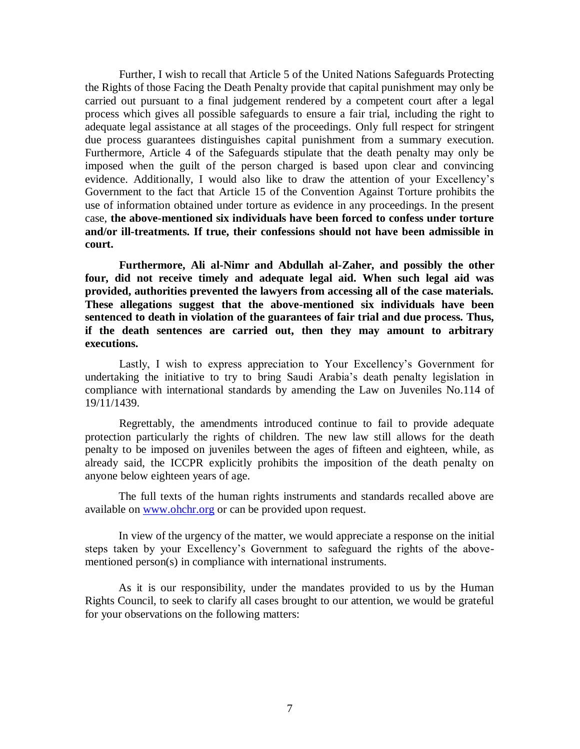Further, I wish to recall that Article 5 of the United Nations Safeguards Protecting the Rights of those Facing the Death Penalty provide that capital punishment may only be carried out pursuant to a final judgement rendered by a competent court after a legal process which gives all possible safeguards to ensure a fair trial, including the right to adequate legal assistance at all stages of the proceedings. Only full respect for stringent due process guarantees distinguishes capital punishment from a summary execution. Furthermore, Article 4 of the Safeguards stipulate that the death penalty may only be imposed when the guilt of the person charged is based upon clear and convincing evidence. Additionally, I would also like to draw the attention of your Excellency's Government to the fact that Article 15 of the Convention Against Torture prohibits the use of information obtained under torture as evidence in any proceedings. In the present case, **the above-mentioned six individuals have been forced to confess under torture and/or ill-treatments. If true, their confessions should not have been admissible in court.** 

**Furthermore, Ali al-Nimr and Abdullah al-Zaher, and possibly the other four, did not receive timely and adequate legal aid. When such legal aid was provided, authorities prevented the lawyers from accessing all of the case materials. These allegations suggest that the above-mentioned six individuals have been sentenced to death in violation of the guarantees of fair trial and due process. Thus, if the death sentences are carried out, then they may amount to arbitrary executions.** 

Lastly, I wish to express appreciation to Your Excellency's Government for undertaking the initiative to try to bring Saudi Arabia's death penalty legislation in compliance with international standards by amending the Law on Juveniles No.114 of 19/11/1439.

Regrettably, the amendments introduced continue to fail to provide adequate protection particularly the rights of children. The new law still allows for the death penalty to be imposed on juveniles between the ages of fifteen and eighteen, while, as already said, the ICCPR explicitly prohibits the imposition of the death penalty on anyone below eighteen years of age.

The full texts of the human rights instruments and standards recalled above are available on [www.ohchr.org](http://www.ohchr.org/) or can be provided upon request.

In view of the urgency of the matter, we would appreciate a response on the initial steps taken by your Excellency's Government to safeguard the rights of the abovementioned person(s) in compliance with international instruments.

As it is our responsibility, under the mandates provided to us by the Human Rights Council, to seek to clarify all cases brought to our attention, we would be grateful for your observations on the following matters: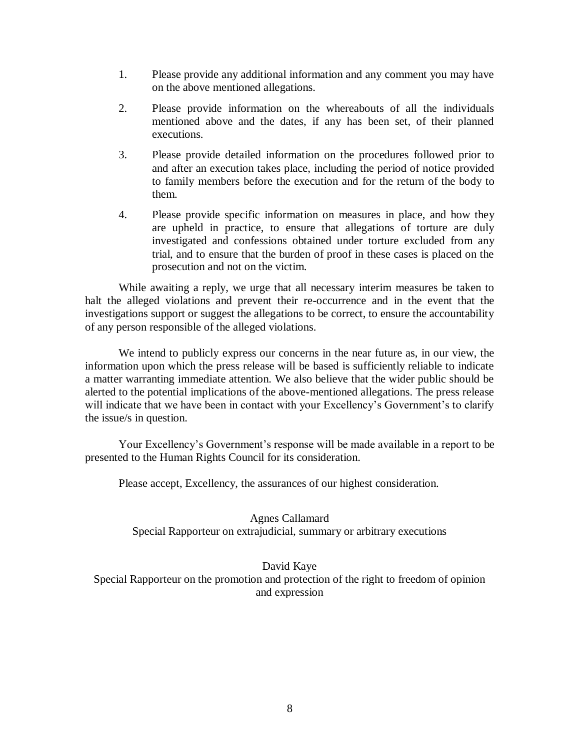- 1. Please provide any additional information and any comment you may have on the above mentioned allegations.
- 2. Please provide information on the whereabouts of all the individuals mentioned above and the dates, if any has been set, of their planned executions.
- 3. Please provide detailed information on the procedures followed prior to and after an execution takes place, including the period of notice provided to family members before the execution and for the return of the body to them.
- 4. Please provide specific information on measures in place, and how they are upheld in practice, to ensure that allegations of torture are duly investigated and confessions obtained under torture excluded from any trial, and to ensure that the burden of proof in these cases is placed on the prosecution and not on the victim.

While awaiting a reply, we urge that all necessary interim measures be taken to halt the alleged violations and prevent their re-occurrence and in the event that the investigations support or suggest the allegations to be correct, to ensure the accountability of any person responsible of the alleged violations.

We intend to publicly express our concerns in the near future as, in our view, the information upon which the press release will be based is sufficiently reliable to indicate a matter warranting immediate attention. We also believe that the wider public should be alerted to the potential implications of the above-mentioned allegations. The press release will indicate that we have been in contact with your Excellency's Government's to clarify the issue/s in question.

Your Excellency's Government's response will be made available in a report to be presented to the Human Rights Council for its consideration.

Please accept, Excellency, the assurances of our highest consideration.

Agnes Callamard Special Rapporteur on extrajudicial, summary or arbitrary executions

David Kaye Special Rapporteur on the promotion and protection of the right to freedom of opinion and expression